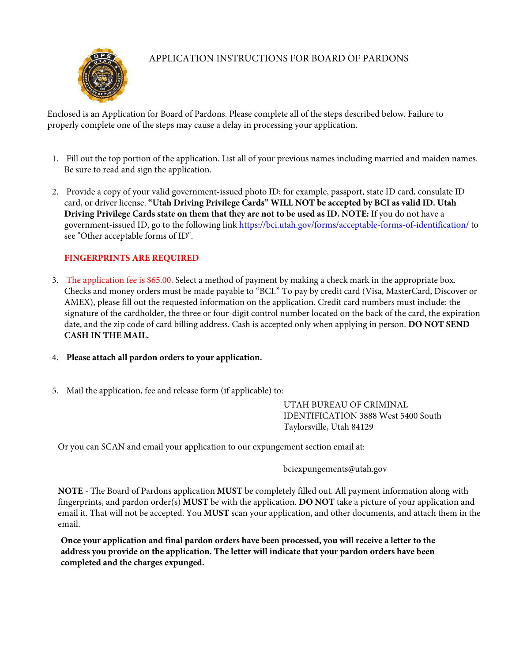

## APPLICATION INSTRUCTIONS FOR BOARD OF PARDONS

Enclosed is an Application for Board of Pardons. Please complete all of the steps described below. Failure to properly complete one of the steps may cause a delay in processing your application.

- 1. Fill out the top portion of the application. List all of your previous names including married and maiden names. Be sure to read and sign the application.
- 2. Provide a copy of your valid government-issued photo ID; for example, passport, state ID card, consulate ID card, or driver license. **"Utah Driving Privilege Cards" WILL NOT be accepted by BCI as valid ID. Utah Driving Privilege Cards state on them that they are not to be used as ID. NOTE:** If you do not have a government-issued ID, go to the following link https://bci.utah.gov/forms/acceptable-forms-of-identification/ to see "Other acceptable forms of ID".

## **FINGERPRINTS ARE REQUIRED**

- 3. The application fee is \$65.00. Select a method of payment by making a check mark in the appropriate box. Checks and money orders must be made payable to "BCI." To pay by credit card (Visa, MasterCard, Discover or AMEX), please fill out the requested information on the application. Credit card numbers must include: the signature of the cardholder, the three or four-digit control number located on the back of the card, the expiration date, and the zip code of card billing address. Cash is accepted only when applying in person. **DO NOT SEND CASH IN THE MAIL.**
- 4. **Please attach all pardon orders to your application.**
- 5. Mail the application, fee and release form (if applicable) to:

UTAH BUREAU OF CRIMINAL IDENTIFICATION 3888 West 5400 South Taylorsville, Utah 84129

Or you can SCAN and email your application to our expungement section email at:

bciexpungements@utah.gov

**NOTE** - The Board of Pardons application **MUST** be completely filled out. All payment information along with fingerprints, and pardon order(s) **MUST** be with the application. **DO NOT** take a picture of your application and email it. That will not be accepted. You **MUST** scan your application, and other documents, and attach them in the email.

**Once your application and final pardon orders have been processed, you will receive a letter to the address you provide on the application. The letter will indicate that your pardon orders have been completed and the charges expunged.**